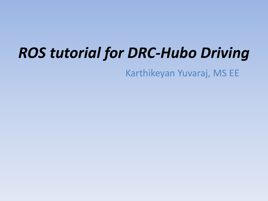## *ROS tutorial for DRC-Hubo Driving*

Karthikeyan Yuvaraj, MS EE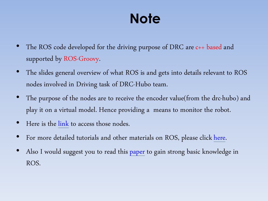### **Note**

- The ROS code developed for the driving purpose of DRC are c++ based and supported by ROS-Groovy.
- The slides general overview of what ROS is and gets into details relevant to ROS nodes involved in Driving task of DRC-Hubo team.
- The purpose of the nodes are to receive the encoder value(from the drc-hubo) and play it on a virtual model. Hence providing a means to monitor the robot.
- Here is the [link](https://github.com/metallo25/ros_rainbow_new_bridge/blob/master/hubo_state_publisher/src/hubo_state_publisher.cpp) to access those nodes.
- For more detailed tutorials and other materials on ROS, please click [here.](http://www.ros.org/)
- Also I would suggest you to read this [paper](http://pub1.willowgarage.com/~konolige/cs225B/docs/quigley-icra2009-ros.pdf) to gain strong basic knowledge in ROS.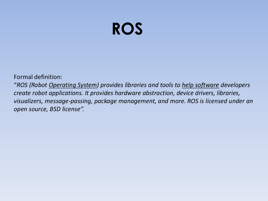## **ROS**

Formal definition:

"*ROS (Robot Operating System) provides libraries and tools to help software developers create robot applications. It provides hardware abstraction, device drivers, libraries, visualizers, message-passing, package management, and more. ROS is licensed under an open source, BSD license".*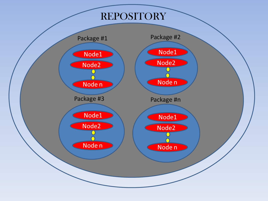### REPOSITORY

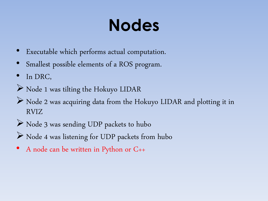## **Nodes**

- Executable which performs actual computation.
- Smallest possible elements of a ROS program.
- In DRC,
- Node 1 was tilting the Hokuyo LIDAR
- Node 2 was acquiring data from the Hokuyo LIDAR and plotting it in RVIZ
- Node 3 was sending UDP packets to hubo
- $\triangleright$  Node 4 was listening for UDP packets from hubo
- A node can be written in Python or C++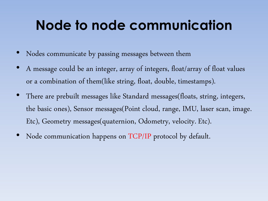### **Node to node communication**

- Nodes communicate by passing messages between them
- A message could be an integer, array of integers, float/array of float values or a combination of them(like string, float, double, timestamps).
- There are prebuilt messages like Standard messages(floats, string, integers, the basic ones), Sensor messages(Point cloud, range, IMU, laser scan, image. Etc), Geometry messages(quaternion, Odometry, velocity. Etc).
- Node communication happens on TCP/IP protocol by default.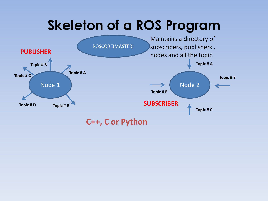### **Skeleton of a ROS Program**

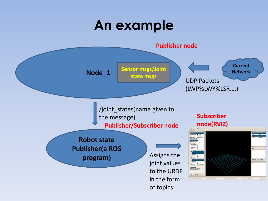### **An example**

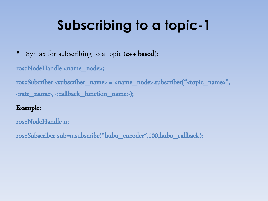- Syntax for subscribing to a topic  $(c++$  based):
- ros::NodeHandle <name\_node>;

ros::Subcriber <subscriber\_name> = <name\_node>.subscriber("<topic\_name>", <rate\_name>, <callback\_function\_name>);

#### Example:

ros::NodeHandle n;

ros::Subscriber sub=n.subscribe("hubo\_encoder",100,hubo\_callback);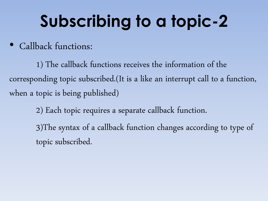• Callback functions:

1) The callback functions receives the information of the corresponding topic subscribed.(It is a like an interrupt call to a function, when a topic is being published)

> 2) Each topic requires a separate callback function. 3)The syntax of a callback function changes according to type of topic subscribed.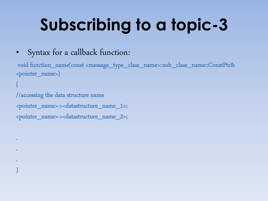### • Syntax for a callback function:

void function\_name(const <message\_type\_class\_name>::sub\_class\_name::ConstPtr& <pointer\_name>) {

//accessing the data structure name <pointer\_name>-><datastructure\_name\_1>; <pointer\_name>-><datastructure\_name\_2>;

.

.

.

}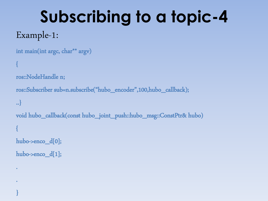### Example-1:

.

.

}

```
int main(int argc, char** argv)
{
ros::NodeHandle n;
ros::Subscriber sub=n.subscribe("hubo_encoder",100,hubo_callback);
..}
void hubo_callback(consthubo_joint_push::hubo_msg::ConstPtr& hubo)
{
hubo->encod[0];
hubo->encod[1];
```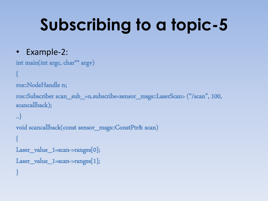### • Example-2:

```
int main(int argc, char** argv)
```

```
{
```

```
ros::NodeHandle n;
```

```
ros::Subscriber scan_sub_=n.subscribe<sensor_msgs::LaserScan> ("/scan", 100, 
scancallback);
```

```
..}
void scancallback(const sensor_msgs::ConstPtr& scan)
{
Laser_value_1=scan->ranges[0];
Laser_value_1=scan->ranges[1];
}
```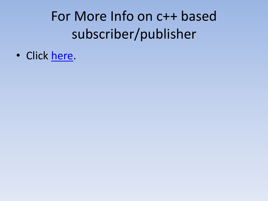For More Info on c++ based subscriber/publisher

• Click [here.](http://wiki.ros.org/ROS/Tutorials/WritingPublisherSubscriber(c++))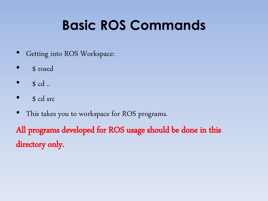## **Basic ROS Commands**

- Getting into ROS Workspace:
- \$ roscd
- \$ cd ..
- \$ cd src
- This takes you to workspace for ROS programs.

All programs developed for ROS usage should be done in this directory only.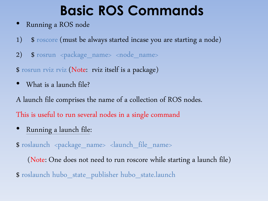### **Basic ROS Commands**

- Running a ROS node
- 1) \$ roscore (must be always started incase you are starting a node)
- 2) \$ rosrun <package\_name> <node\_name>

\$ rosrun rviz rviz (Note: rviz itself is a package)

• What is a launch file?

A launch file comprises the name of a collection of ROS nodes. This is useful to run several nodes in a single command

• Running a launch file:

\$ roslaunch <package\_name> <launch\_file\_name>

(Note: One does not need to run roscore while starting a launch file)

\$ roslaunch hubo\_state\_publisher hubo\_state.launch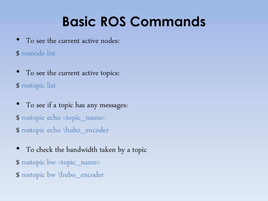## **Basic ROS Commands**

To see the current active nodes:

\$ rosnode list

- To see the current active topics:
- \$ rostopic list
- To see if a topic has any messages: \$ rostopic echo <topic\_name> \$ rostopic echo \hubo\_encoder
- To check the bandwidth taken by a topic
- \$ rostopic bw <topic\_name>
- \$ rostopic bw \hubo\_encoder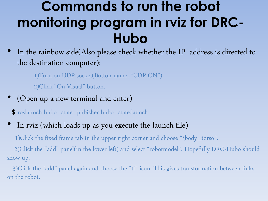### **Commands to run the robot monitoring program in rviz for DRC-Hubo**

In the rainbow side(Also please check whether the IP address is directed to the destination computer):

1)Turn on UDP socket(Button name: "UDP ON")

2)Click "On Visual" button.

(Open up a new terminal and enter)

\$ roslaunch hubo\_state\_pubisher hubo\_state.launch

In rviz (which loads up as you execute the launch file)

1)Click the fixed frame tab in the upper right corner and choose "\body\_torso".

2)Click the "add" panel(in the lower left) and select "robotmodel". Hopefully DRC-Hubo should show up.

3)Click the "add" panel again and choose the "tf" icon. This gives transformation between links on the robot.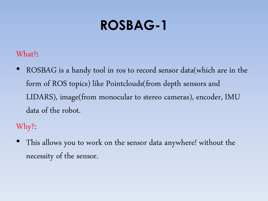What?:

• ROSBAG is a handy tool in ros to record sensor data(which are in the form of ROS topics) like Pointclouds(from depth sensors and LIDARS), image(from monocular to stereo cameras), encoder, IMU data of the robot.

Why?:

This allows you to work on the sensor data anywhere! without the necessity of the sensor.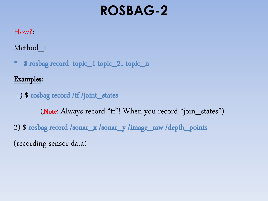#### How?:

Method\_1

• \$ rosbag record topic\_1 topic\_2.. topic\_n

#### Examples:

1) \$ rosbag record /tf /joint\_states (Note: Always record "tf"! When you record "join\_states") 2) \$ rosbag record /sonar\_x /sonar\_y /image\_raw /depth\_points (recording sensor data)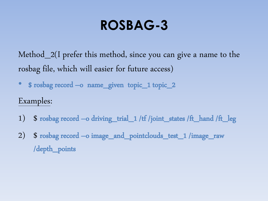Method\_2(I prefer this method, since you can give a name to the rosbag file, which will easier for future access)

• \$ rosbag record –o name\_given topic\_1 topic\_2

#### Examples:

- 1) \$ rosbag record –o driving\_trial\_1 /tf /joint\_states /ft\_hand/ft\_leg
- 2) \$ rosbag record –o image\_and\_pointclouds\_test\_1 /image\_raw /depth\_points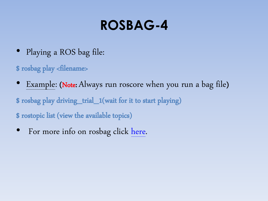- Playing a ROS bag file:
- \$ rosbag play <filename>
- Example: (Note: Always run roscore when you run a bag file)
- \$ rosbag play driving\_trial\_1(wait for it to start playing)
- \$ rostopic list (view the available topics)
- For more info on rosbag click [here](http://wiki.ros.org/rosbag/Commandline#record).